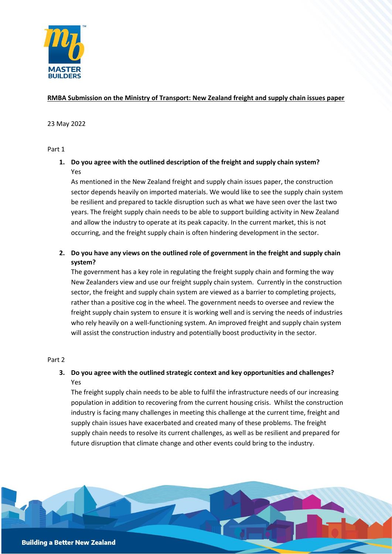

## **RMBA Submission on the Ministry of Transport: New Zealand freight and supply chain issues paper**

## 23 May 2022

## Part 1

# **1. Do you agree with the outlined description of the freight and supply chain system?** Yes

As mentioned in the New Zealand freight and supply chain issues paper, the construction sector depends heavily on imported materials. We would like to see the supply chain system be resilient and prepared to tackle disruption such as what we have seen over the last two years. The freight supply chain needs to be able to support building activity in New Zealand and allow the industry to operate at its peak capacity. In the current market, this is not occurring, and the freight supply chain is often hindering development in the sector.

## **2. Do you have any views on the outlined role of government in the freight and supply chain system?**

The government has a key role in regulating the freight supply chain and forming the way New Zealanders view and use our freight supply chain system. Currently in the construction sector, the freight and supply chain system are viewed as a barrier to completing projects, rather than a positive cog in the wheel. The government needs to oversee and review the freight supply chain system to ensure it is working well and is serving the needs of industries who rely heavily on a well-functioning system. An improved freight and supply chain system will assist the construction industry and potentially boost productivity in the sector.

## Part 2

## **3. Do you agree with the outlined strategic context and key opportunities and challenges?** Yes

The freight supply chain needs to be able to fulfil the infrastructure needs of our increasing population in addition to recovering from the current housing crisis. Whilst the construction industry is facing many challenges in meeting this challenge at the current time, freight and supply chain issues have exacerbated and created many of these problems. The freight supply chain needs to resolve its current challenges, as well as be resilient and prepared for future disruption that climate change and other events could bring to the industry.

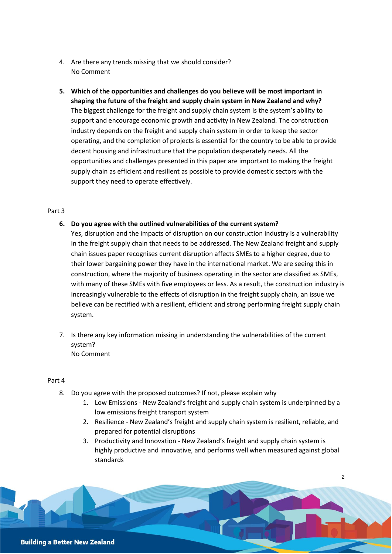- 4. Are there any trends missing that we should consider? No Comment
- **5. Which of the opportunities and challenges do you believe will be most important in shaping the future of the freight and supply chain system in New Zealand and why?** The biggest challenge for the freight and supply chain system is the system's ability to support and encourage economic growth and activity in New Zealand. The construction industry depends on the freight and supply chain system in order to keep the sector operating, and the completion of projects is essential for the country to be able to provide decent housing and infrastructure that the population desperately needs. All the opportunities and challenges presented in this paper are important to making the freight supply chain as efficient and resilient as possible to provide domestic sectors with the support they need to operate effectively.

#### Part 3

#### **6. Do you agree with the outlined vulnerabilities of the current system?**

Yes, disruption and the impacts of disruption on our construction industry is a vulnerability in the freight supply chain that needs to be addressed. The New Zealand freight and supply chain issues paper recognises current disruption affects SMEs to a higher degree, due to their lower bargaining power they have in the international market. We are seeing this in construction, where the majority of business operating in the sector are classified as SMEs, with many of these SMEs with five employees or less. As a result, the construction industry is increasingly vulnerable to the effects of disruption in the freight supply chain, an issue we believe can be rectified with a resilient, efficient and strong performing freight supply chain system.

7. Is there any key information missing in understanding the vulnerabilities of the current system? No Comment

#### Part 4

- 8. Do you agree with the proposed outcomes? If not, please explain why
	- 1. Low Emissions New Zealand's freight and supply chain system is underpinned by a low emissions freight transport system
	- 2. Resilience New Zealand's freight and supply chain system is resilient, reliable, and prepared for potential disruptions
	- 3. Productivity and Innovation New Zealand's freight and supply chain system is highly productive and innovative, and performs well when measured against global standards